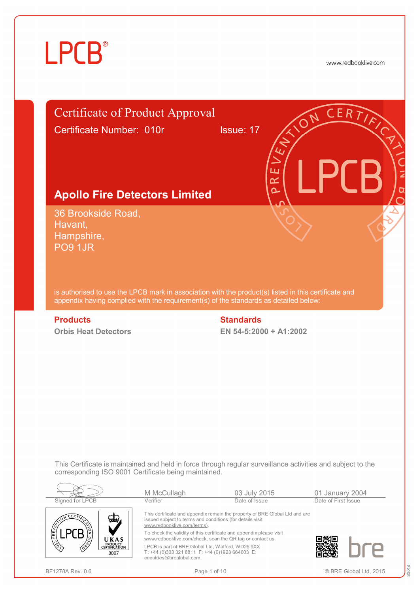www.redbooklive.com



LPCB is part of BRE Global Ltd, Watford, WD25 9XX T: +44 (0)333 321 8811 F: +44 (0)1923 664603 E:

[enquiries@breglobal.com](mailto:enquiries@breglobal.com)

BF1278A Rev. 0.6 **Page 1 of 10** Page 1 of 10 **Page 1 of 10 C** BRE Global Ltd, 2015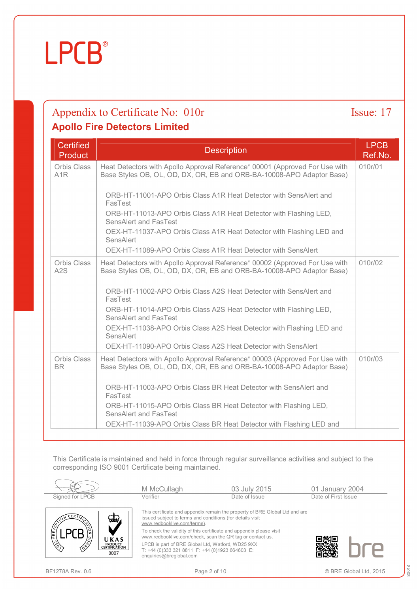### Appendix to Certificate No: 010r Issue: 17 **Apollo Fire Detectors Limited**

| <b>Certified</b><br><b>Product</b> | <b>Description</b>                                                                                                                                   | <b>LPCB</b><br>Ref.No. |
|------------------------------------|------------------------------------------------------------------------------------------------------------------------------------------------------|------------------------|
| Orbis Class<br>A1R                 | Heat Detectors with Apollo Approval Reference* 00001 (Approved For Use with<br>Base Styles OB, OL, OD, DX, OR, EB and ORB-BA-10008-APO Adaptor Base) | 010r/01                |
|                                    | ORB-HT-11001-APO Orbis Class A1R Heat Detector with SensAlert and<br>FasTest                                                                         |                        |
|                                    | ORB-HT-11013-APO Orbis Class A1R Heat Detector with Flashing LED,<br>SensAlert and FasTest                                                           |                        |
|                                    | OEX-HT-11037-APO Orbis Class A1R Heat Detector with Flashing LED and<br>SensAlert                                                                    |                        |
|                                    | OEX-HT-11089-APO Orbis Class A1R Heat Detector with SensAlert                                                                                        |                        |
| <b>Orbis Class</b><br>A2S          | Heat Detectors with Apollo Approval Reference* 00002 (Approved For Use with<br>Base Styles OB, OL, OD, DX, OR, EB and ORB-BA-10008-APO Adaptor Base) | 010r/02                |
|                                    | ORB-HT-11002-APO Orbis Class A2S Heat Detector with SensAlert and<br>FasTest                                                                         |                        |
|                                    | ORB-HT-11014-APO Orbis Class A2S Heat Detector with Flashing LED,<br>SensAlert and FasTest                                                           |                        |
|                                    | OEX-HT-11038-APO Orbis Class A2S Heat Detector with Flashing LED and<br>SensAlert                                                                    |                        |
|                                    | OEX-HT-11090-APO Orbis Class A2S Heat Detector with SensAlert                                                                                        |                        |
| <b>Orbis Class</b><br><b>BR</b>    | Heat Detectors with Apollo Approval Reference* 00003 (Approved For Use with<br>Base Styles OB, OL, OD, DX, OR, EB and ORB-BA-10008-APO Adaptor Base) | 010r/03                |
|                                    | ORB-HT-11003-APO Orbis Class BR Heat Detector with SensAlert and<br>FasTest                                                                          |                        |
|                                    | ORB-HT-11015-APO Orbis Class BR Heat Detector with Flashing LED,<br>SensAlert and FasTest                                                            |                        |
|                                    | OEX-HT-11039-APO Orbis Class BR Heat Detector with Flashing LED and                                                                                  |                        |

This Certificate is maintained and held in force through regular surveillance activities and subject to the corresponding ISO 9001 Certificate being maintained.

| Signed for LPCB                                                | M McCullagh<br>Verifier                                                                                                          | 03 July 2015<br>Date of Issue                                               | 01 January 2004<br>Date of First Issue |
|----------------------------------------------------------------|----------------------------------------------------------------------------------------------------------------------------------|-----------------------------------------------------------------------------|----------------------------------------|
| CERFT<br>تطلعا                                                 | issued subject to terms and conditions (for details visit<br>www.redbooklive.com/terms).                                         | This certificate and appendix remain the property of BRE Global Ltd and are |                                        |
| PREVERS<br>UKAS                                                | To check the validity of this certificate and appendix please visit<br>www.redbooklive.com/check, scan the QR tag or contact us. |                                                                             |                                        |
| $\mathbb{Z}$<br><b>PRODUCT</b><br><b>CERTIFICATION</b><br>0007 | LPCB is part of BRE Global Ltd, Watford, WD25 9XX<br>T: +44 (0)333 321 8811 F: +44 (0)1923 664603 E:<br>enquiries@breglobal.com  |                                                                             |                                        |

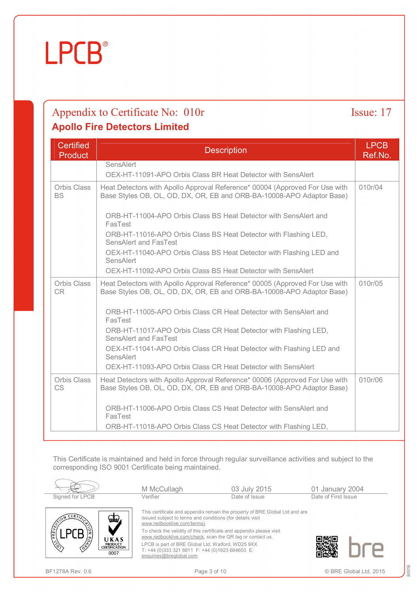### Appendix to Certificate No: 010r Issue: 17 **Apollo Fire Detectors Limited**

| <b>Certified</b><br><b>Product</b> | <b>Description</b>                                                                                                                                   | <b>LPCB</b><br>Ref.No. |
|------------------------------------|------------------------------------------------------------------------------------------------------------------------------------------------------|------------------------|
|                                    | <b>SensAlert</b><br>OEX-HT-11091-APO Orbis Class BR Heat Detector with SensAlert                                                                     |                        |
| Orbis Class<br><b>BS</b>           | Heat Detectors with Apollo Approval Reference* 00004 (Approved For Use with<br>Base Styles OB, OL, OD, DX, OR, EB and ORB-BA-10008-APO Adaptor Base) | 010r/04                |
|                                    | ORB-HT-11004-APO Orbis Class BS Heat Detector with SensAlert and<br>FasTest<br>ORB-HT-11016-APO Orbis Class BS Heat Detector with Flashing LED,      |                        |
|                                    | <b>SensAlert and FasTest</b><br>OEX-HT-11040-APO Orbis Class BS Heat Detector with Flashing LED and                                                  |                        |
|                                    | <b>SensAlert</b><br>OEX-HT-11092-APO Orbis Class BS Heat Detector with SensAlert                                                                     |                        |
| Orbis Class<br>C <sub>R</sub>      | Heat Detectors with Apollo Approval Reference* 00005 (Approved For Use with<br>Base Styles OB, OL, OD, DX, OR, EB and ORB-BA-10008-APO Adaptor Base) | 010r/05                |
|                                    | ORB-HT-11005-APO Orbis Class CR Heat Detector with SensAlert and<br>FasTest                                                                          |                        |
|                                    | ORB-HT-11017-APO Orbis Class CR Heat Detector with Flashing LED,<br><b>SensAlert and FasTest</b>                                                     |                        |
|                                    | OEX-HT-11041-APO Orbis Class CR Heat Detector with Flashing LED and<br><b>SensAlert</b>                                                              |                        |
|                                    | OEX-HT-11093-APO Orbis Class CR Heat Detector with SensAlert                                                                                         |                        |
| Orbis Class<br><b>CS</b>           | Heat Detectors with Apollo Approval Reference* 00006 (Approved For Use with<br>Base Styles OB, OL, OD, DX, OR, EB and ORB-BA-10008-APO Adaptor Base) | 010r/06                |
|                                    | ORB-HT-11006-APO Orbis Class CS Heat Detector with SensAlert and<br>FasTest                                                                          |                        |
|                                    | ORB-HT-11018-APO Orbis Class CS Heat Detector with Flashing LED,                                                                                     |                        |

This Certificate is maintained and held in force through regular surveillance activities and subject to the corresponding ISO 9001 Certificate being maintained.

|                                                                                                                                         | M McCullagh                                                                                                                                                                                                                                                                                                                                                                                                                                    | 03 July 2015  | 01 January 2004     |
|-----------------------------------------------------------------------------------------------------------------------------------------|------------------------------------------------------------------------------------------------------------------------------------------------------------------------------------------------------------------------------------------------------------------------------------------------------------------------------------------------------------------------------------------------------------------------------------------------|---------------|---------------------|
| Signed for LPCB                                                                                                                         | Verifier                                                                                                                                                                                                                                                                                                                                                                                                                                       | Date of Issue | Date of First Issue |
| $CERT_{\ell}$<br>خطتها<br>PREVENT<br>UKAS<br>$\sqrt{3}$<br><b>PRODUCT</b><br>$\mathcal{L}^{\mathbf{A}}$<br><b>CERTIFICATION</b><br>0007 | This certificate and appendix remain the property of BRE Global Ltd and are<br>issued subject to terms and conditions (for details visit<br>www.redbooklive.com/terms).<br>To check the validity of this certificate and appendix please visit<br>www.redbooklive.com/check, scan the QR tag or contact us.<br>LPCB is part of BRE Global Ltd, Watford, WD25 9XX<br>T: +44 (0)333 321 8811 F: +44 (0)1923 664603 E:<br>enquiries@breglobal.com |               |                     |

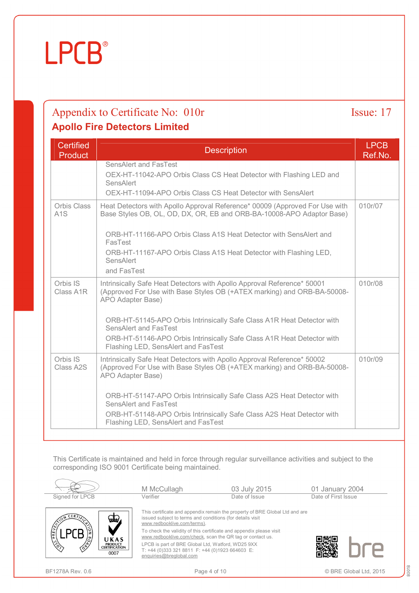### Appendix to Certificate No: 010r Issue: 17 **Apollo Fire Detectors Limited**

| <b>Certified</b><br><b>Product</b> | <b>Description</b>                                                                                                                                                      | <b>LPCB</b><br>Ref.No. |
|------------------------------------|-------------------------------------------------------------------------------------------------------------------------------------------------------------------------|------------------------|
|                                    | SensAlert and FasTest<br>OEX-HT-11042-APO Orbis Class CS Heat Detector with Flashing LED and<br>SensAlert                                                               |                        |
|                                    | OEX-HT-11094-APO Orbis Class CS Heat Detector with SensAlert                                                                                                            |                        |
| Orbis Class<br>A <sub>1</sub> S    | Heat Detectors with Apollo Approval Reference* 00009 (Approved For Use with<br>Base Styles OB, OL, OD, DX, OR, EB and ORB-BA-10008-APO Adaptor Base)                    | 010r/07                |
|                                    | ORB-HT-11166-APO Orbis Class A1S Heat Detector with SensAlert and<br>FasTest                                                                                            |                        |
|                                    | ORB-HT-11167-APO Orbis Class A1S Heat Detector with Flashing LED,<br>SensAlert<br>and FasTest                                                                           |                        |
| Orbis IS<br>Class A1R              | Intrinsically Safe Heat Detectors with Apollo Approval Reference* 50001<br>(Approved For Use with Base Styles OB (+ATEX marking) and ORB-BA-50008-<br>APO Adapter Base) | 010r/08                |
|                                    | ORB-HT-51145-APO Orbis Intrinsically Safe Class A1R Heat Detector with<br>SensAlert and FasTest                                                                         |                        |
|                                    | ORB-HT-51146-APO Orbis Intrinsically Safe Class A1R Heat Detector with<br>Flashing LED, SensAlert and FasTest                                                           |                        |
| Orbis IS<br>Class A2S              | Intrinsically Safe Heat Detectors with Apollo Approval Reference* 50002<br>(Approved For Use with Base Styles OB (+ATEX marking) and ORB-BA-50008-<br>APO Adapter Base) | 010r/09                |
|                                    | ORB-HT-51147-APO Orbis Intrinsically Safe Class A2S Heat Detector with<br><b>SensAlert and FasTest</b>                                                                  |                        |
|                                    | ORB-HT-51148-APO Orbis Intrinsically Safe Class A2S Heat Detector with<br>Flashing LED, SensAlert and FasTest                                                           |                        |

This Certificate is maintained and held in force through regular surveillance activities and subject to the corresponding ISO 9001 Certificate being maintained.

|                                                                                                                               | M McCullagh                                                                                                                                                                                                                                                                                                                                                                                                                                    | 03 July 2015  | 01 January 2004     |
|-------------------------------------------------------------------------------------------------------------------------------|------------------------------------------------------------------------------------------------------------------------------------------------------------------------------------------------------------------------------------------------------------------------------------------------------------------------------------------------------------------------------------------------------------------------------------------------|---------------|---------------------|
| Signed for LPCB                                                                                                               | Verifier                                                                                                                                                                                                                                                                                                                                                                                                                                       | Date of Issue | Date of First Issue |
| ERT<br>خطتها<br>PREVEN<br>UKAS<br>$\sqrt{3}$<br><b>PRODUCT</b><br>$\mathcal{L}^{\mathcal{L}}$<br><b>CERTIFICATION</b><br>0007 | This certificate and appendix remain the property of BRE Global Ltd and are<br>issued subject to terms and conditions (for details visit<br>www.redbooklive.com/terms).<br>To check the validity of this certificate and appendix please visit<br>www.redbooklive.com/check, scan the QR tag or contact us.<br>LPCB is part of BRE Global Ltd, Watford, WD25 9XX<br>T: +44 (0)333 321 8811 F: +44 (0)1923 664603 E:<br>enquiries@breglobal.com |               |                     |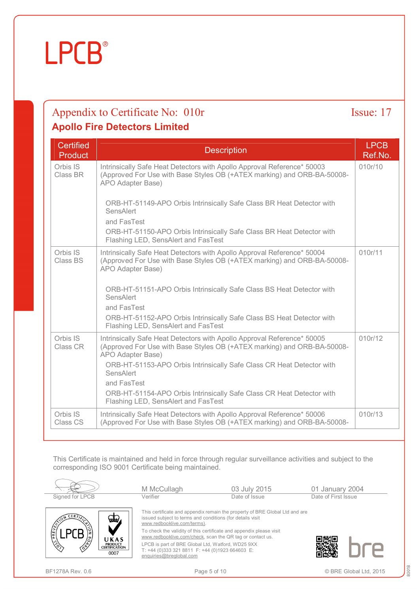### Appendix to Certificate No: 010r Issue: 17 **Apollo Fire Detectors Limited**

| <b>Certified</b><br><b>Product</b> | <b>Description</b>                                                                                                                                                      | <b>LPCB</b><br>Ref.No. |
|------------------------------------|-------------------------------------------------------------------------------------------------------------------------------------------------------------------------|------------------------|
| Orbis IS<br>Class BR               | Intrinsically Safe Heat Detectors with Apollo Approval Reference* 50003<br>(Approved For Use with Base Styles OB (+ATEX marking) and ORB-BA-50008-<br>APO Adapter Base) | 010r/10                |
|                                    | ORB-HT-51149-APO Orbis Intrinsically Safe Class BR Heat Detector with<br>SensAlert                                                                                      |                        |
|                                    | and FasTest                                                                                                                                                             |                        |
|                                    | ORB-HT-51150-APO Orbis Intrinsically Safe Class BR Heat Detector with<br>Flashing LED, SensAlert and FasTest                                                            |                        |
| Orbis IS<br>Class BS               | Intrinsically Safe Heat Detectors with Apollo Approval Reference* 50004<br>(Approved For Use with Base Styles OB (+ATEX marking) and ORB-BA-50008-<br>APO Adapter Base) | 010r/11                |
|                                    | ORB-HT-51151-APO Orbis Intrinsically Safe Class BS Heat Detector with<br>SensAlert<br>and FasTest                                                                       |                        |
|                                    | ORB-HT-51152-APO Orbis Intrinsically Safe Class BS Heat Detector with<br>Flashing LED, SensAlert and FasTest                                                            |                        |
| Orbis IS<br>Class CR               | Intrinsically Safe Heat Detectors with Apollo Approval Reference* 50005<br>(Approved For Use with Base Styles OB (+ATEX marking) and ORB-BA-50008-<br>APO Adapter Base) | 010r/12                |
|                                    | ORB-HT-51153-APO Orbis Intrinsically Safe Class CR Heat Detector with<br>SensAlert                                                                                      |                        |
|                                    | and FasTest                                                                                                                                                             |                        |
|                                    | ORB-HT-51154-APO Orbis Intrinsically Safe Class CR Heat Detector with<br>Flashing LED, SensAlert and FasTest                                                            |                        |
| Orbis IS<br>Class CS               | Intrinsically Safe Heat Detectors with Apollo Approval Reference* 50006<br>(Approved For Use with Base Styles OB (+ATEX marking) and ORB-BA-50008-                      | 010r/13                |

This Certificate is maintained and held in force through regular surveillance activities and subject to the corresponding ISO 9001 Certificate being maintained.

| Signed for LPCB                                                                                               | M McCullagh<br>Verifier                                                                                                          | 03 July 2015<br>Date of Issue                                               | 01 January 2004<br>Date of First Issue |
|---------------------------------------------------------------------------------------------------------------|----------------------------------------------------------------------------------------------------------------------------------|-----------------------------------------------------------------------------|----------------------------------------|
| CERT<br>يعين                                                                                                  | issued subject to terms and conditions (for details visit<br>www.redbooklive.com/terms).                                         | This certificate and appendix remain the property of BRE Global Ltd and are |                                        |
| PREVENT<br>UKAS                                                                                               | To check the validity of this certificate and appendix please visit<br>www.redbooklive.com/check, scan the QR tag or contact us. |                                                                             |                                        |
| $\mathbb{Z}$<br><b>PRODUCT</b><br>$\langle \hat{\delta}^{\hat{\Phi}} \rangle$<br><b>CERTIFICATION</b><br>0007 | LPCB is part of BRE Global Ltd, Watford, WD25 9XX<br>T: +44 (0)333 321 8811 F: +44 (0)1923 664603 E:<br>enquiries@breglobal.com  |                                                                             |                                        |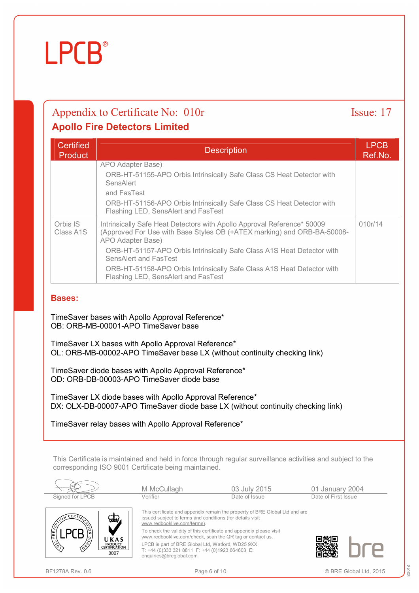### Appendix to Certificate No: 010r Issue: 17 **Apollo Fire Detectors Limited**

| <b>Certified</b><br>Product        | <b>Description</b>                                                                                                                                                      | <b>LPCB</b><br>Ref.No. |
|------------------------------------|-------------------------------------------------------------------------------------------------------------------------------------------------------------------------|------------------------|
|                                    | APO Adapter Base)<br>ORB-HT-51155-APO Orbis Intrinsically Safe Class CS Heat Detector with                                                                              |                        |
|                                    | SensAlert<br>and FasTest                                                                                                                                                |                        |
|                                    | ORB-HT-51156-APO Orbis Intrinsically Safe Class CS Heat Detector with<br>Flashing LED, SensAlert and FasTest                                                            |                        |
| Orbis IS<br>Class A <sub>1</sub> S | Intrinsically Safe Heat Detectors with Apollo Approval Reference* 50009<br>(Approved For Use with Base Styles OB (+ATEX marking) and ORB-BA-50008-<br>APO Adapter Base) | 010r/14                |
|                                    | ORB-HT-51157-APO Orbis Intrinsically Safe Class A1S Heat Detector with<br>SensAlert and FasTest                                                                         |                        |
|                                    | ORB-HT-51158-APO Orbis Intrinsically Safe Class A1S Heat Detector with<br>Flashing LED, SensAlert and FasTest                                                           |                        |

#### **Bases:**

TimeSaver bases with Apollo Approval Reference\* OB: ORB-MB-00001-APO TimeSaver base

TimeSaver LX bases with Apollo Approval Reference\* OL: ORB-MB-00002-APO TimeSaver base LX (without continuity checking link)

TimeSaver diode bases with Apollo Approval Reference\* OD: ORB-DB-00003-APO TimeSaver diode base

TimeSaver LX diode bases with Apollo Approval Reference\* DX: OLX-DB-00007-APO TimeSaver diode base LX (without continuity checking link)

TimeSaver relay bases with Apollo Approval Reference\*

This Certificate is maintained and held in force through regular surveillance activities and subject to the corresponding ISO 9001 Certificate being maintained.

| Signed for LPCB                                                                                   | M McCullagh<br>Verifier                                                                                                                                                                                                                                                                                                                                                                                                                        | 03 July 2015<br>Date of Issue | 01 January 2004<br>Date of First Issue |  |
|---------------------------------------------------------------------------------------------------|------------------------------------------------------------------------------------------------------------------------------------------------------------------------------------------------------------------------------------------------------------------------------------------------------------------------------------------------------------------------------------------------------------------------------------------------|-------------------------------|----------------------------------------|--|
| CERT<br>PREVENT<br>UKAS<br>$\sqrt{\frac{2}{3}}$<br><b>PRODUCT</b><br><b>CERTIFICATION</b><br>0007 | This certificate and appendix remain the property of BRE Global Ltd and are<br>issued subject to terms and conditions (for details visit<br>www.redbooklive.com/terms).<br>To check the validity of this certificate and appendix please visit<br>www.redbooklive.com/check, scan the QR tag or contact us.<br>LPCB is part of BRE Global Ltd, Watford, WD25 9XX<br>T: +44 (0)333 321 8811 F: +44 (0)1923 664603 E:<br>enquiries@breglobal.com |                               |                                        |  |

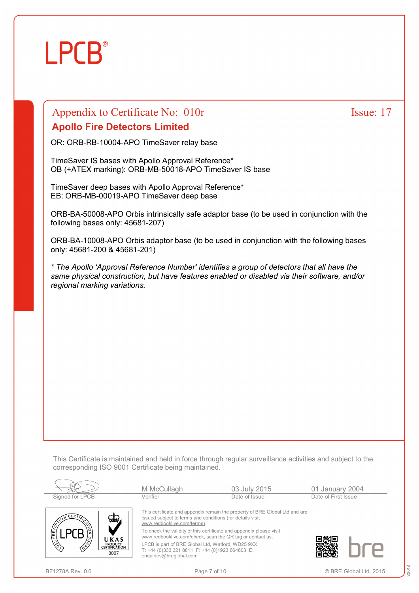## **LPCB**

### Appendix to Certificate No: 010r Issue: 17 **Apollo Fire Detectors Limited**

OR: ORB-RB-10004-APO TimeSaver relay base

TimeSaver IS bases with Apollo Approval Reference\* OB (+ATEX marking): ORB-MB-50018-APO TimeSaver IS base

TimeSaver deep bases with Apollo Approval Reference\* EB: ORB-MB-00019-APO TimeSaver deep base

ORB-BA-50008-APO Orbis intrinsically safe adaptor base (to be used in conjunction with the following bases only: 45681-207)

ORB-BA-10008-APO Orbis adaptor base (to be used in conjunction with the following bases only: 45681-200 & 45681-201)

*\* The Apollo 'Approval Reference Number' identifies a group of detectors that all have the same physical construction, but have features enabled or disabled via their software, and/or regional marking variations.* 

This Certificate is maintained and held in force through regular surveillance activities and subject to the corresponding ISO 9001 Certificate being maintained.

|                                                                                                                          | M McCullagh                                                                                                                                                                                                                                                                                                                                                                                                                                    | 03 July 2015  | 01 January 2004     |
|--------------------------------------------------------------------------------------------------------------------------|------------------------------------------------------------------------------------------------------------------------------------------------------------------------------------------------------------------------------------------------------------------------------------------------------------------------------------------------------------------------------------------------------------------------------------------------|---------------|---------------------|
| Signed for LPCB                                                                                                          | Verifier                                                                                                                                                                                                                                                                                                                                                                                                                                       | Date of Issue | Date of First Issue |
| <b>CERTIT</b><br>كالك<br>PREVENT<br>UKAS<br>$\frac{\sqrt{2}}{2}$<br><b>PRODUCT</b><br>∕ॄ<br><b>CERTIFICATION</b><br>0007 | This certificate and appendix remain the property of BRE Global Ltd and are<br>issued subject to terms and conditions (for details visit<br>www.redbooklive.com/terms).<br>To check the validity of this certificate and appendix please visit<br>www.redbooklive.com/check, scan the QR tag or contact us.<br>LPCB is part of BRE Global Ltd, Watford, WD25 9XX<br>T: +44 (0)333 321 8811 F: +44 (0)1923 664603 E:<br>enquiries@breglobal.com |               |                     |

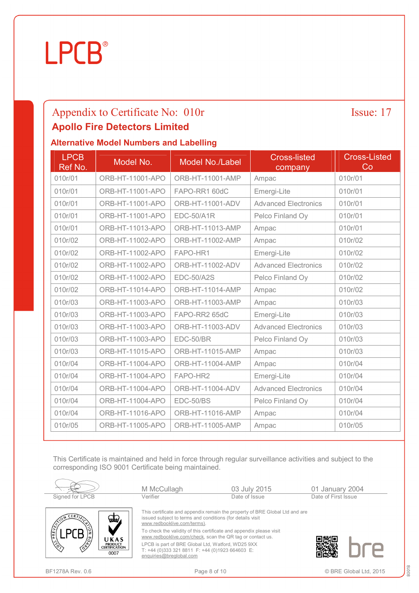### Appendix to Certificate No: 010r Issue: 17 **Apollo Fire Detectors Limited**

### **Alternative Model Numbers and Labelling**

| <b>LPCB</b><br>Ref No. | Model No.        | Model No./Label   | <b>Cross-listed</b><br>company | <b>Cross-Listed</b><br>Co |
|------------------------|------------------|-------------------|--------------------------------|---------------------------|
| 010r/01                | ORB-HT-11001-APO | ORB-HT-11001-AMP  | Ampac                          | 010r/01                   |
| 010r/01                | ORB-HT-11001-APO | FAPO-RR1 60dC     | Emergi-Lite                    | 010r/01                   |
| 010r/01                | ORB-HT-11001-APO | ORB-HT-11001-ADV  | <b>Advanced Electronics</b>    | 010r/01                   |
| 010r/01                | ORB-HT-11001-APO | <b>EDC-50/A1R</b> | Pelco Finland Oy               | 010r/01                   |
| 010r/01                | ORB-HT-11013-APO | ORB-HT-11013-AMP  | Ampac                          | 010r/01                   |
| 010r/02                | ORB-HT-11002-APO | ORB-HT-11002-AMP  | Ampac                          | 010r/02                   |
| 010r/02                | ORB-HT-11002-APO | FAPO-HR1          | Emergi-Lite                    | 010r/02                   |
| 010r/02                | ORB-HT-11002-APO | ORB-HT-11002-ADV  | <b>Advanced Electronics</b>    | 010r/02                   |
| 010r/02                | ORB-HT-11002-APO | <b>EDC-50/A2S</b> | Pelco Finland Oy               | 010r/02                   |
| 010r/02                | ORB-HT-11014-APO | ORB-HT-11014-AMP  | Ampac                          | 010r/02                   |
| 010r/03                | ORB-HT-11003-APO | ORB-HT-11003-AMP  | Ampac                          | 010r/03                   |
| 010r/03                | ORB-HT-11003-APO | FAPO-RR2 65dC     | Emergi-Lite                    | 010r/03                   |
| 010r/03                | ORB-HT-11003-APO | ORB-HT-11003-ADV  | <b>Advanced Electronics</b>    | 010r/03                   |
| 010r/03                | ORB-HT-11003-APO | EDC-50/BR         | Pelco Finland Oy               | 010r/03                   |
| 010r/03                | ORB-HT-11015-APO | ORB-HT-11015-AMP  | Ampac                          | 010r/03                   |
| 010r/04                | ORB-HT-11004-APO | ORB-HT-11004-AMP  | Ampac                          | 010r/04                   |
| 010r/04                | ORB-HT-11004-APO | FAPO-HR2          | Emergi-Lite                    | 010r/04                   |
| 010r/04                | ORB-HT-11004-APO | ORB-HT-11004-ADV  | <b>Advanced Electronics</b>    | 010r/04                   |
| 010r/04                | ORB-HT-11004-APO | EDC-50/BS         | Pelco Finland Oy               | 010r/04                   |
| 010r/04                | ORB-HT-11016-APO | ORB-HT-11016-AMP  | Ampac                          | 010r/04                   |
| 010r/05                | ORB-HT-11005-APO | ORB-HT-11005-AMP  | Ampac                          | 010r/05                   |

This Certificate is maintained and held in force through regular surveillance activities and subject to the corresponding ISO 9001 Certificate being maintained.

| Signed for LPCB                                       |                                                | M McCullagh<br>Verifier                                                                                                         | 03 July 2015<br>Date of Issue                                                                                                    | 01 January 2004<br>Date of First Issue |
|-------------------------------------------------------|------------------------------------------------|---------------------------------------------------------------------------------------------------------------------------------|----------------------------------------------------------------------------------------------------------------------------------|----------------------------------------|
| CERT                                                  | فتطعنا                                         | issued subject to terms and conditions (for details visit<br>www.redbooklive.com/terms).                                        | This certificate and appendix remain the property of BRE Global Ltd and are                                                      |                                        |
| PREVEN<br>/S,                                         | UKAS                                           |                                                                                                                                 | To check the validity of this certificate and appendix please visit<br>www.redbooklive.com/check, scan the QR tag or contact us. |                                        |
| $\frac{1}{2}$<br>$\langle \hat{\mathbf{e}}^{\rangle}$ | <b>PRODUCT</b><br><b>CERTIFICATION</b><br>0007 | LPCB is part of BRE Global Ltd, Watford, WD25 9XX<br>T: +44 (0)333 321 8811 F: +44 (0)1923 664603 E:<br>enquiries@breglobal.com |                                                                                                                                  |                                        |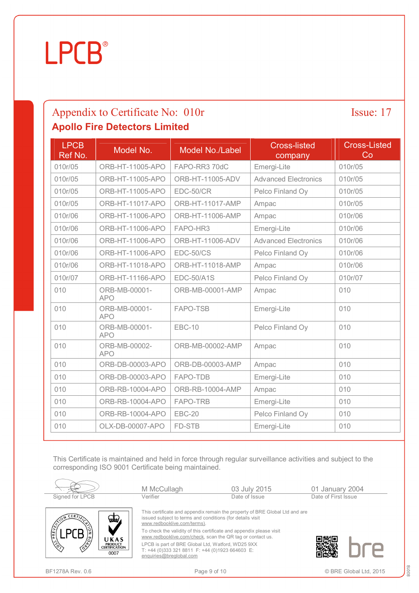### Appendix to Certificate No: 010r Issue: 17 **Apollo Fire Detectors Limited**

| <b>LPCB</b><br>Ref No. | Model No.                   | Model No./Label         | <b>Cross-listed</b><br>company | <b>Cross-Listed</b><br>Co |
|------------------------|-----------------------------|-------------------------|--------------------------------|---------------------------|
| 010r/05                | ORB-HT-11005-APO            | FAPO-RR3 70dC           | Emergi-Lite                    | 010r/05                   |
| 010r/05                | ORB-HT-11005-APO            | ORB-HT-11005-ADV        | <b>Advanced Electronics</b>    | 010r/05                   |
| 010r/05                | ORB-HT-11005-APO            | EDC-50/CR               | Pelco Finland Oy               | 010r/05                   |
| 010r/05                | <b>ORB-HT-11017-APO</b>     | <b>ORB-HT-11017-AMP</b> | Ampac                          | 010r/05                   |
| 010r/06                | ORB-HT-11006-APO            | ORB-HT-11006-AMP        | Ampac                          | 010r/06                   |
| 010r/06                | ORB-HT-11006-APO            | FAPO-HR3                | Emergi-Lite                    | 010r/06                   |
| 010r/06                | ORB-HT-11006-APO            | ORB-HT-11006-ADV        | <b>Advanced Electronics</b>    | 010r/06                   |
| 010r/06                | ORB-HT-11006-APO            | EDC-50/CS               | Pelco Finland Oy               | 010r/06                   |
| 010r/06                | <b>ORB-HT-11018-APO</b>     | <b>ORB-HT-11018-AMP</b> | Ampac                          | 010r/06                   |
| 010r/07                | ORB-HT-11166-APO            | <b>EDC-50/A1S</b>       | Pelco Finland Oy               | 010r/07                   |
| 010                    | ORB-MB-00001-<br><b>APO</b> | ORB-MB-00001-AMP        | Ampac                          | 010                       |
| 010                    | ORB-MB-00001-<br><b>APO</b> | <b>FAPO-TSB</b>         | Emergi-Lite                    | 010                       |
| 010                    | ORB-MB-00001-<br><b>APO</b> | <b>EBC-10</b>           | Pelco Finland Oy               | 010                       |
| 010                    | ORB-MB-00002-<br><b>APO</b> | ORB-MB-00002-AMP        | Ampac                          | 010                       |
| 010                    | ORB-DB-00003-APO            | ORB-DB-00003-AMP        | Ampac                          | 010                       |
| 010                    | ORB-DB-00003-APO            | FAPO-TDB                | Emergi-Lite                    | 010                       |
| 010                    | ORB-RB-10004-APO            | ORB-RB-10004-AMP        | Ampac                          | 010                       |
| 010                    | ORB-RB-10004-APO            | FAPO-TRB                | Emergi-Lite                    | 010                       |
| 010                    | ORB-RB-10004-APO            | <b>EBC-20</b>           | Pelco Finland Oy               | 010                       |
| 010                    | OLX-DB-00007-APO            | FD-STB                  | Emergi-Lite                    | 010                       |

This Certificate is maintained and held in force through regular surveillance activities and subject to the corresponding ISO 9001 Certificate being maintained.

| Signed for LPCB                                                                                               | M McCullagh<br>Verifier                                                                                                          | 03 July 2015<br>Date of Issue                                               | 01 January 2004<br>Date of First Issue |  |
|---------------------------------------------------------------------------------------------------------------|----------------------------------------------------------------------------------------------------------------------------------|-----------------------------------------------------------------------------|----------------------------------------|--|
| CERT<br>√تطلخ                                                                                                 | issued subject to terms and conditions (for details visit<br>www.redbooklive.com/terms).                                         | This certificate and appendix remain the property of BRE Global Ltd and are |                                        |  |
| PREVENT<br>б١<br>UKAS                                                                                         | To check the validity of this certificate and appendix please visit<br>www.redbooklive.com/check, scan the QR tag or contact us. |                                                                             |                                        |  |
| $\sqrt{\frac{1}{2}}$<br><b>PRODUCT</b><br>$\langle \hat{\mathcal{S}} \rangle$<br><b>CERTIFICATION</b><br>0007 | LPCB is part of BRE Global Ltd, Watford, WD25 9XX<br>T: +44 (0)333 321 8811 F: +44 (0)1923 664603 E:<br>enquiries@breglobal.com  |                                                                             |                                        |  |